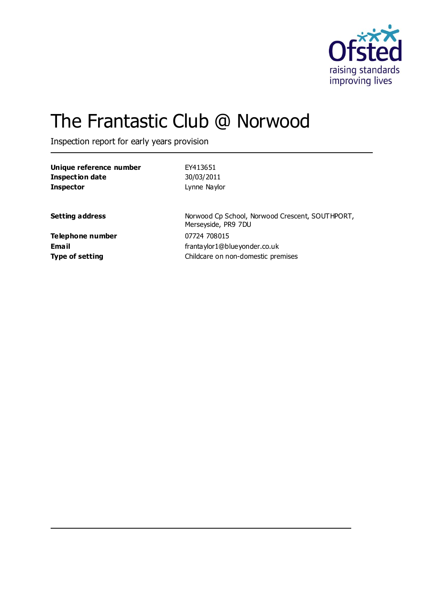

# The Frantastic Club @ Norwood

Inspection report for early years provision

| Unique reference number<br><b>Inspection date</b><br><b>Inspector</b> | EY413651<br>30/03/2011<br>Lynne Naylor                                             |
|-----------------------------------------------------------------------|------------------------------------------------------------------------------------|
| Setting address                                                       | Norwood Cp School, Norwood Crescent, SOUTHPORT,<br>Merseyside, PR9 7DU             |
| Telephone number<br><b>Email</b><br>Type of setting                   | 07724 708015<br>frantaylor1@blueyonder.co.uk<br>Childcare on non-domestic premises |
|                                                                       |                                                                                    |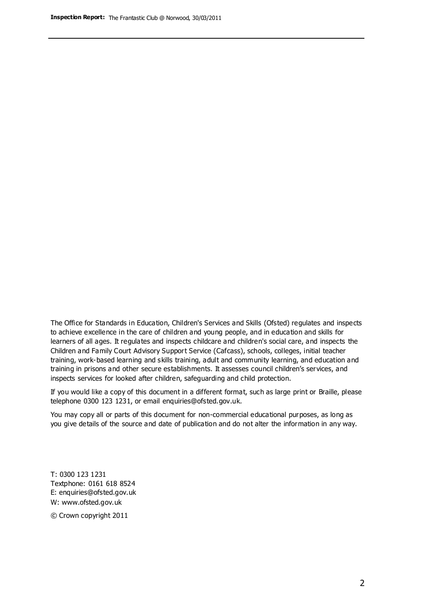The Office for Standards in Education, Children's Services and Skills (Ofsted) regulates and inspects to achieve excellence in the care of children and young people, and in education and skills for learners of all ages. It regulates and inspects childcare and children's social care, and inspects the Children and Family Court Advisory Support Service (Cafcass), schools, colleges, initial teacher training, work-based learning and skills training, adult and community learning, and education and training in prisons and other secure establishments. It assesses council children's services, and inspects services for looked after children, safeguarding and child protection.

If you would like a copy of this document in a different format, such as large print or Braille, please telephone 0300 123 1231, or email enquiries@ofsted.gov.uk.

You may copy all or parts of this document for non-commercial educational purposes, as long as you give details of the source and date of publication and do not alter the information in any way.

T: 0300 123 1231 Textphone: 0161 618 8524 E: enquiries@ofsted.gov.uk W: [www.ofsted.gov.uk](http://www.ofsted.gov.uk/)

© Crown copyright 2011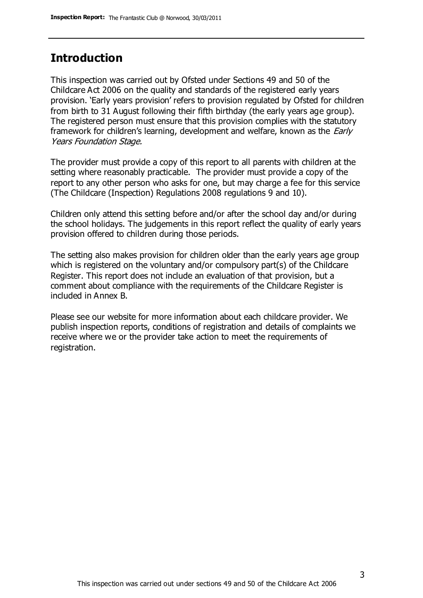## **Introduction**

This inspection was carried out by Ofsted under Sections 49 and 50 of the Childcare Act 2006 on the quality and standards of the registered early years provision. 'Early years provision' refers to provision regulated by Ofsted for children from birth to 31 August following their fifth birthday (the early years age group). The registered person must ensure that this provision complies with the statutory framework for children's learning, development and welfare, known as the *Early* Years Foundation Stage.

The provider must provide a copy of this report to all parents with children at the setting where reasonably practicable. The provider must provide a copy of the report to any other person who asks for one, but may charge a fee for this service (The Childcare (Inspection) Regulations 2008 regulations 9 and 10).

Children only attend this setting before and/or after the school day and/or during the school holidays. The judgements in this report reflect the quality of early years provision offered to children during those periods.

The setting also makes provision for children older than the early years age group which is registered on the voluntary and/or compulsory part(s) of the Childcare Register. This report does not include an evaluation of that provision, but a comment about compliance with the requirements of the Childcare Register is included in Annex B.

Please see our website for more information about each childcare provider. We publish inspection reports, conditions of registration and details of complaints we receive where we or the provider take action to meet the requirements of registration.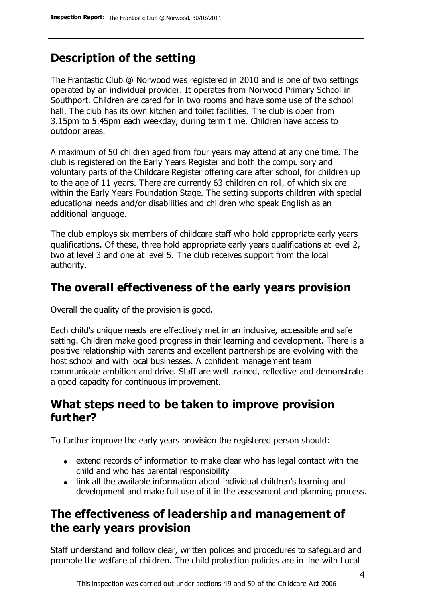# **Description of the setting**

The Frantastic Club @ Norwood was registered in 2010 and is one of two settings operated by an individual provider. It operates from Norwood Primary School in Southport. Children are cared for in two rooms and have some use of the school hall. The club has its own kitchen and toilet facilities. The club is open from 3.15pm to 5.45pm each weekday, during term time. Children have access to outdoor areas.

A maximum of 50 children aged from four years may attend at any one time. The club is registered on the Early Years Register and both the compulsory and voluntary parts of the Childcare Register offering care after school, for children up to the age of 11 years. There are currently 63 children on roll, of which six are within the Early Years Foundation Stage. The setting supports children with special educational needs and/or disabilities and children who speak English as an additional language.

The club employs six members of childcare staff who hold appropriate early years qualifications. Of these, three hold appropriate early years qualifications at level 2, two at level 3 and one at level 5. The club receives support from the local authority.

## **The overall effectiveness of the early years provision**

Overall the quality of the provision is good.

Each child's unique needs are effectively met in an inclusive, accessible and safe setting. Children make good progress in their learning and development. There is a positive relationship with parents and excellent partnerships are evolving with the host school and with local businesses. A confident management team communicate ambition and drive. Staff are well trained, reflective and demonstrate a good capacity for continuous improvement.

## **What steps need to be taken to improve provision further?**

To further improve the early years provision the registered person should:

- extend records of information to make clear who has legal contact with the child and who has parental responsibility
- link all the available information about individual children's learning and development and make full use of it in the assessment and planning process.

## **The effectiveness of leadership and management of the early years provision**

Staff understand and follow clear, written polices and procedures to safeguard and promote the welfare of children. The child protection policies are in line with Local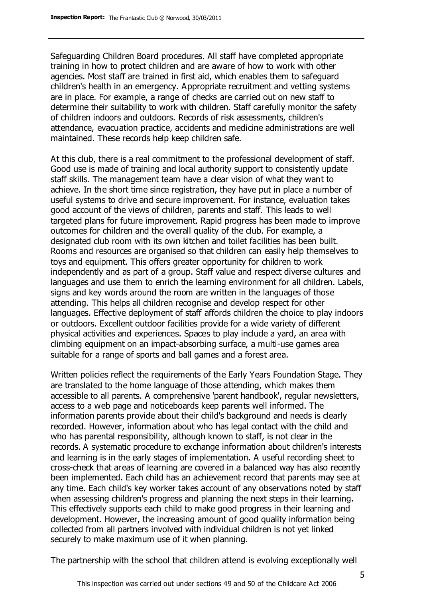Safeguarding Children Board procedures. All staff have completed appropriate training in how to protect children and are aware of how to work with other agencies. Most staff are trained in first aid, which enables them to safeguard children's health in an emergency. Appropriate recruitment and vetting systems are in place. For example, a range of checks are carried out on new staff to determine their suitability to work with children. Staff carefully monitor the safety of children indoors and outdoors. Records of risk assessments, children's attendance, evacuation practice, accidents and medicine administrations are well maintained. These records help keep children safe.

At this club, there is a real commitment to the professional development of staff. Good use is made of training and local authority support to consistently update staff skills. The management team have a clear vision of what they want to achieve. In the short time since registration, they have put in place a number of useful systems to drive and secure improvement. For instance, evaluation takes good account of the views of children, parents and staff. This leads to well targeted plans for future improvement. Rapid progress has been made to improve outcomes for children and the overall quality of the club. For example, a designated club room with its own kitchen and toilet facilities has been built. Rooms and resources are organised so that children can easily help themselves to toys and equipment. This offers greater opportunity for children to work independently and as part of a group. Staff value and respect diverse cultures and languages and use them to enrich the learning environment for all children. Labels, signs and key words around the room are written in the languages of those attending. This helps all children recognise and develop respect for other languages. Effective deployment of staff affords children the choice to play indoors or outdoors. Excellent outdoor facilities provide for a wide variety of different physical activities and experiences. Spaces to play include a yard, an area with climbing equipment on an impact-absorbing surface, a multi-use games area suitable for a range of sports and ball games and a forest area.

Written policies reflect the requirements of the Early Years Foundation Stage. They are translated to the home language of those attending, which makes them accessible to all parents. A comprehensive 'parent handbook', regular newsletters, access to a web page and noticeboards keep parents well informed. The information parents provide about their child's background and needs is clearly recorded. However, information about who has legal contact with the child and who has parental responsibility, although known to staff, is not clear in the records. A systematic procedure to exchange information about children's interests and learning is in the early stages of implementation. A useful recording sheet to cross-check that areas of learning are covered in a balanced way has also recently been implemented. Each child has an achievement record that parents may see at any time. Each child's key worker takes account of any observations noted by staff when assessing children's progress and planning the next steps in their learning. This effectively supports each child to make good progress in their learning and development. However, the increasing amount of good quality information being collected from all partners involved with individual children is not yet linked securely to make maximum use of it when planning.

The partnership with the school that children attend is evolving exceptionally well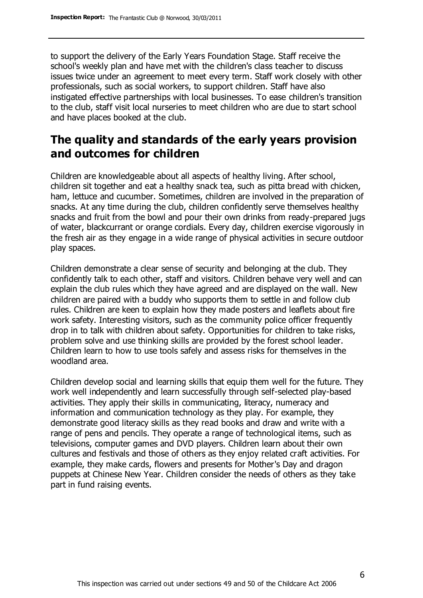to support the delivery of the Early Years Foundation Stage. Staff receive the school's weekly plan and have met with the children's class teacher to discuss issues twice under an agreement to meet every term. Staff work closely with other professionals, such as social workers, to support children. Staff have also instigated effective partnerships with local businesses. To ease children's transition to the club, staff visit local nurseries to meet children who are due to start school and have places booked at the club.

## **The quality and standards of the early years provision and outcomes for children**

Children are knowledgeable about all aspects of healthy living. After school, children sit together and eat a healthy snack tea, such as pitta bread with chicken, ham, lettuce and cucumber. Sometimes, children are involved in the preparation of snacks. At any time during the club, children confidently serve themselves healthy snacks and fruit from the bowl and pour their own drinks from ready-prepared jugs of water, blackcurrant or orange cordials. Every day, children exercise vigorously in the fresh air as they engage in a wide range of physical activities in secure outdoor play spaces.

Children demonstrate a clear sense of security and belonging at the club. They confidently talk to each other, staff and visitors. Children behave very well and can explain the club rules which they have agreed and are displayed on the wall. New children are paired with a buddy who supports them to settle in and follow club rules. Children are keen to explain how they made posters and leaflets about fire work safety. Interesting visitors, such as the community police officer frequently drop in to talk with children about safety. Opportunities for children to take risks, problem solve and use thinking skills are provided by the forest school leader. Children learn to how to use tools safely and assess risks for themselves in the woodland area.

Children develop social and learning skills that equip them well for the future. They work well independently and learn successfully through self-selected play-based activities. They apply their skills in communicating, literacy, numeracy and information and communication technology as they play. For example, they demonstrate good literacy skills as they read books and draw and write with a range of pens and pencils. They operate a range of technological items, such as televisions, computer games and DVD players. Children learn about their own cultures and festivals and those of others as they enjoy related craft activities. For example, they make cards, flowers and presents for Mother's Day and dragon puppets at Chinese New Year. Children consider the needs of others as they take part in fund raising events.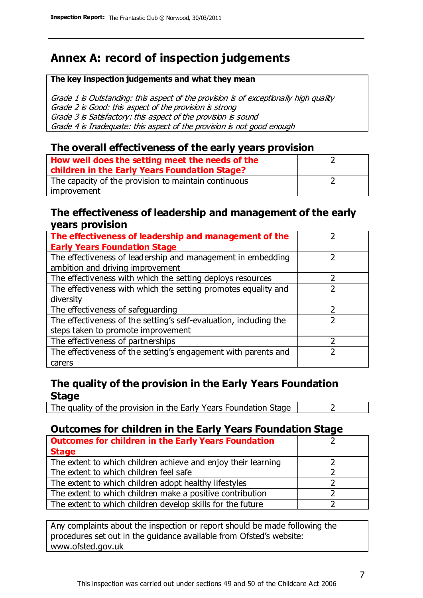# **Annex A: record of inspection judgements**

#### **The key inspection judgements and what they mean**

Grade 1 is Outstanding: this aspect of the provision is of exceptionally high quality Grade 2 is Good: this aspect of the provision is strong Grade 3 is Satisfactory: this aspect of the provision is sound Grade 4 is Inadequate: this aspect of the provision is not good enough

#### **The overall effectiveness of the early years provision**

| How well does the setting meet the needs of the<br>children in the Early Years Foundation Stage? |  |
|--------------------------------------------------------------------------------------------------|--|
| The capacity of the provision to maintain continuous                                             |  |
| improvement                                                                                      |  |

#### **The effectiveness of leadership and management of the early years provision**

| The effectiveness of leadership and management of the             |  |
|-------------------------------------------------------------------|--|
| <b>Early Years Foundation Stage</b>                               |  |
| The effectiveness of leadership and management in embedding       |  |
| ambition and driving improvement                                  |  |
| The effectiveness with which the setting deploys resources        |  |
| The effectiveness with which the setting promotes equality and    |  |
| diversity                                                         |  |
| The effectiveness of safeguarding                                 |  |
| The effectiveness of the setting's self-evaluation, including the |  |
| steps taken to promote improvement                                |  |
| The effectiveness of partnerships                                 |  |
| The effectiveness of the setting's engagement with parents and    |  |
| carers                                                            |  |

#### **The quality of the provision in the Early Years Foundation Stage**

The quality of the provision in the Early Years Foundation Stage  $\vert$  2

### **Outcomes for children in the Early Years Foundation Stage**

| <b>Outcomes for children in the Early Years Foundation</b>    |  |
|---------------------------------------------------------------|--|
| <b>Stage</b>                                                  |  |
| The extent to which children achieve and enjoy their learning |  |
| The extent to which children feel safe                        |  |
| The extent to which children adopt healthy lifestyles         |  |
| The extent to which children make a positive contribution     |  |
| The extent to which children develop skills for the future    |  |

Any complaints about the inspection or report should be made following the procedures set out in the guidance available from Ofsted's website: www.ofsted.gov.uk